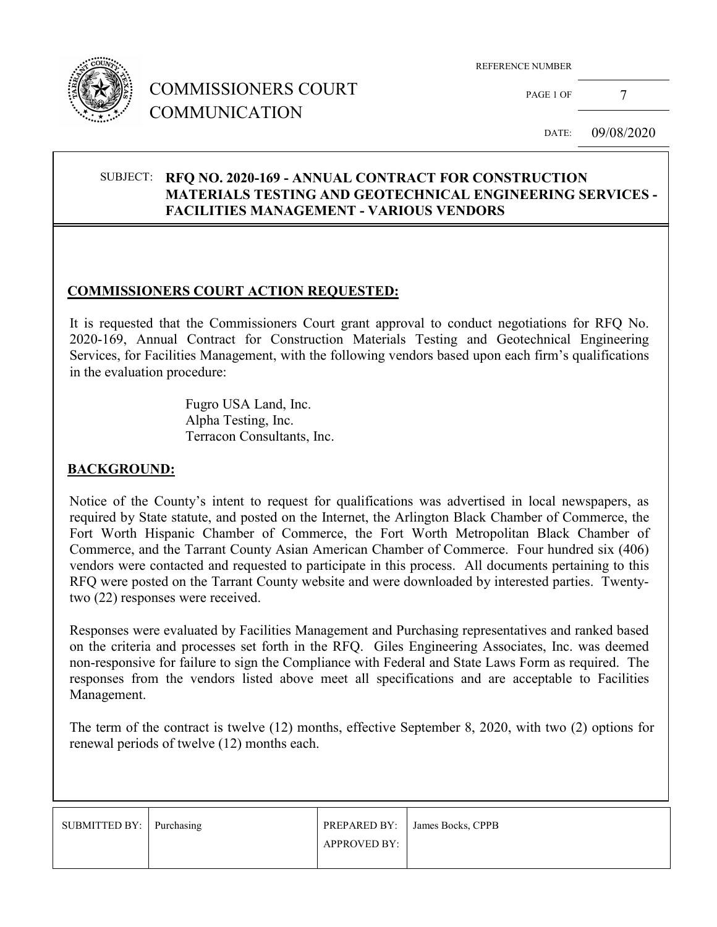

## COMMISSIONERS COURT COMMUNICATION

REFERENCE NUMBER

PAGE 1 OF 7

DATE: 09/08/2020

#### SUBJECT: **RFQ NO. 2020-169 - ANNUAL CONTRACT FOR CONSTRUCTION MATERIALS TESTING AND GEOTECHNICAL ENGINEERING SERVICES - FACILITIES MANAGEMENT - VARIOUS VENDORS**

#### **COMMISSIONERS COURT ACTION REQUESTED:**

It is requested that the Commissioners Court grant approval to conduct negotiations for RFQ No. 2020-169, Annual Contract for Construction Materials Testing and Geotechnical Engineering Services, for Facilities Management, with the following vendors based upon each firm's qualifications in the evaluation procedure:

> Fugro USA Land, Inc. Alpha Testing, Inc. Terracon Consultants, Inc.

#### **BACKGROUND:**

Notice of the County's intent to request for qualifications was advertised in local newspapers, as required by State statute, and posted on the Internet, the Arlington Black Chamber of Commerce, the Fort Worth Hispanic Chamber of Commerce, the Fort Worth Metropolitan Black Chamber of Commerce, and the Tarrant County Asian American Chamber of Commerce. Four hundred six (406) vendors were contacted and requested to participate in this process. All documents pertaining to this RFQ were posted on the Tarrant County website and were downloaded by interested parties. Twentytwo (22) responses were received.

Responses were evaluated by Facilities Management and Purchasing representatives and ranked based on the criteria and processes set forth in the RFQ. Giles Engineering Associates, Inc. was deemed non-responsive for failure to sign the Compliance with Federal and State Laws Form as required. The responses from the vendors listed above meet all specifications and are acceptable to Facilities Management.

The term of the contract is twelve (12) months, effective September 8, 2020, with two (2) options for renewal periods of twelve (12) months each.

| SUBMITTED BY: Purchasing |                     | PREPARED BY: James Bocks, CPPB |
|--------------------------|---------------------|--------------------------------|
|                          | <b>APPROVED BY:</b> |                                |